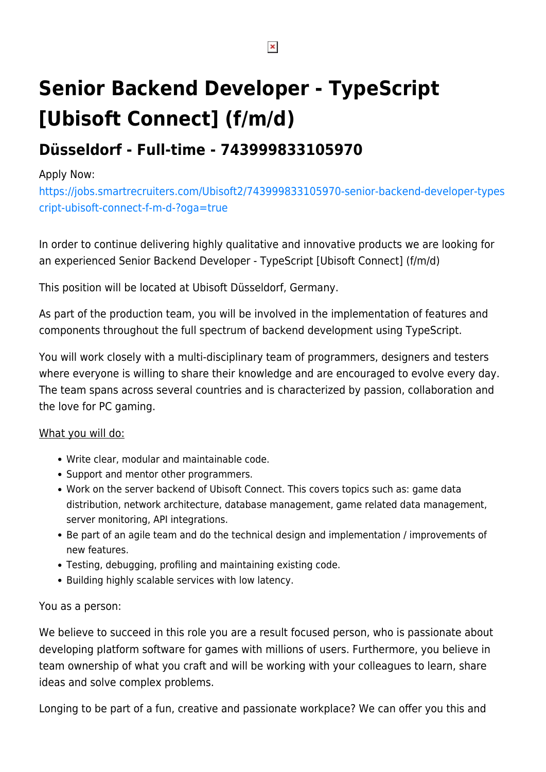# **Senior Backend Developer - TypeScript [Ubisoft Connect] (f/m/d)**

# **Düsseldorf - Full-time - 743999833105970**

#### Apply Now:

[https://jobs.smartrecruiters.com/Ubisoft2/743999833105970-senior-backend-developer-types](https://jobs.smartrecruiters.com/Ubisoft2/743999833105970-senior-backend-developer-typescript-ubisoft-connect-f-m-d-?oga=true) [cript-ubisoft-connect-f-m-d-?oga=true](https://jobs.smartrecruiters.com/Ubisoft2/743999833105970-senior-backend-developer-typescript-ubisoft-connect-f-m-d-?oga=true)

In order to continue delivering highly qualitative and innovative products we are looking for an experienced Senior Backend Developer - TypeScript [Ubisoft Connect] (f/m/d)

This position will be located at Ubisoft Düsseldorf, Germany.

As part of the production team, you will be involved in the implementation of features and components throughout the full spectrum of backend development using TypeScript.

You will work closely with a multi-disciplinary team of programmers, designers and testers where everyone is willing to share their knowledge and are encouraged to evolve every day. The team spans across several countries and is characterized by passion, collaboration and the love for PC gaming.

#### What you will do:

- Write clear, modular and maintainable code.
- Support and mentor other programmers.
- Work on the server backend of Ubisoft Connect. This covers topics such as: game data distribution, network architecture, database management, game related data management, server monitoring, API integrations.
- Be part of an agile team and do the technical design and implementation / improvements of new features.
- Testing, debugging, profiling and maintaining existing code.
- Building highly scalable services with low latency.

#### You as a person:

We believe to succeed in this role you are a result focused person, who is passionate about developing platform software for games with millions of users. Furthermore, you believe in team ownership of what you craft and will be working with your colleagues to learn, share ideas and solve complex problems.

Longing to be part of a fun, creative and passionate workplace? We can offer you this and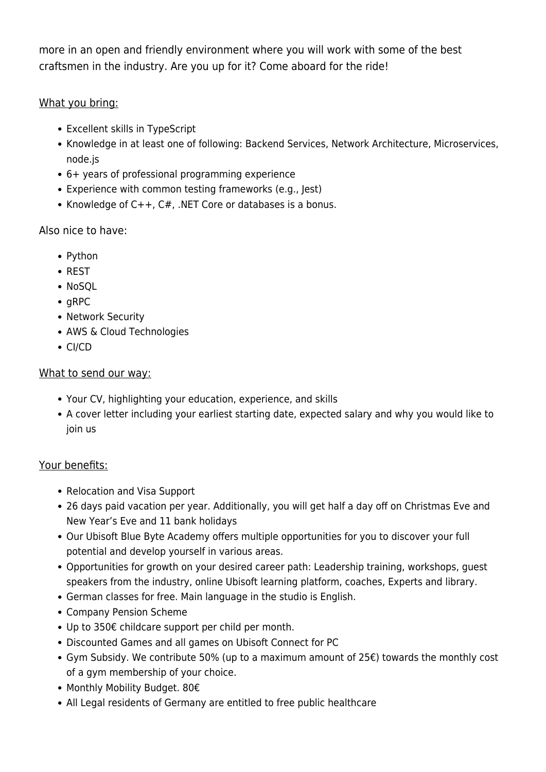more in an open and friendly environment where you will work with some of the best craftsmen in the industry. Are you up for it? Come aboard for the ride!

## What you bring:

- Excellent skills in TypeScript
- Knowledge in at least one of following: Backend Services, Network Architecture, Microservices, node.js
- 6+ years of professional programming experience
- Experience with common testing frameworks (e.g., Jest)
- Knowledge of  $C++$ ,  $C#$ , .NET Core or databases is a bonus.

# Also nice to have:

- Python
- REST
- NoSOL
- $qRPC$
- Network Security
- AWS & Cloud Technologies
- CI/CD

## What to send our way:

- Your CV, highlighting your education, experience, and skills
- A cover letter including your earliest starting date, expected salary and why you would like to join us

# Your benefits:

- Relocation and Visa Support
- 26 days paid vacation per year. Additionally, you will get half a day off on Christmas Eve and New Year's Eve and 11 bank holidays
- Our Ubisoft Blue Byte Academy offers multiple opportunities for you to discover your full potential and develop yourself in various areas.
- Opportunities for growth on your desired career path: Leadership training, workshops, guest speakers from the industry, online Ubisoft learning platform, coaches, Experts and library.
- German classes for free. Main language in the studio is English.
- Company Pension Scheme
- Up to 350€ childcare support per child per month.
- Discounted Games and all games on Ubisoft Connect for PC
- Gym Subsidy. We contribute 50% (up to a maximum amount of 25€) towards the monthly cost of a gym membership of your choice.
- Monthly Mobility Budget. 80€
- All Legal residents of Germany are entitled to free public healthcare